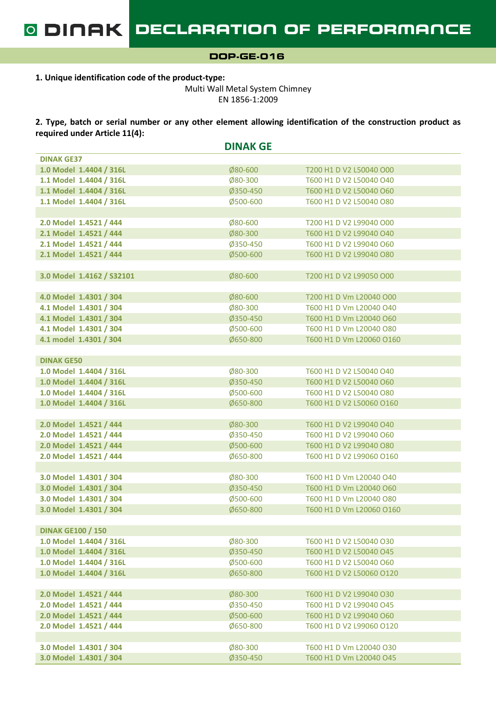1. Unique identification code of the product-type:

Multi Wall Metal System Chimney EN 1856-1:2009

2. Type, batch or serial number or any other element allowing identification of the construction product as required under Article 11(4):

|                           | <b>DINAK GE</b> |                          |
|---------------------------|-----------------|--------------------------|
| <b>DINAK GE37</b>         |                 |                          |
| 1.0 Model 1.4404 / 316L   | Ø80-600         | T200 H1 D V2 L50040 O00  |
| 1.1 Model 1.4404 / 316L   | Ø80-300         | T600 H1 D V2 L50040 O40  |
| 1.1 Model 1.4404 / 316L   | Ø350-450        | T600 H1 D V2 L50040 O60  |
| 1.1 Model 1.4404 / 316L   | Ø500-600        | T600 H1 D V2 L50040 O80  |
|                           |                 |                          |
| 2.0 Model 1.4521 / 444    | Ø80-600         | T200 H1 D V2 L99040 O00  |
| 2.1 Model 1.4521 / 444    | Ø80-300         | T600 H1 D V2 L99040 O40  |
| 2.1 Model 1.4521 / 444    | Ø350-450        | T600 H1 D V2 L99040 O60  |
| 2.1 Model 1.4521 / 444    | Ø500-600        | T600 H1 D V2 L99040 O80  |
|                           |                 |                          |
| 3.0 Model 1.4162 / S32101 | Ø80-600         | T200 H1 D V2 L99050 O00  |
|                           |                 |                          |
| 4.0 Model 1.4301 / 304    | Ø80-600         | T200 H1 D Vm L20040 O00  |
| 4.1 Model 1.4301 / 304    | Ø80-300         | T600 H1 D Vm L20040 O40  |
| 4.1 Model 1.4301 / 304    | Ø350-450        | T600 H1 D Vm L20040 O60  |
| 4.1 Model 1.4301 / 304    | Ø500-600        | T600 H1 D Vm L20040 O80  |
| 4.1 model 1.4301 / 304    | Ø650-800        | T600 H1 D Vm L20060 O160 |
|                           |                 |                          |
| <b>DINAK GE50</b>         |                 |                          |
| 1.0 Model 1.4404 / 316L   | Ø80-300         | T600 H1 D V2 L50040 O40  |
| 1.0 Model 1.4404 / 316L   | Ø350-450        | T600 H1 D V2 L50040 O60  |
| 1.0 Model 1.4404 / 316L   | Ø500-600        | T600 H1 D V2 L50040 O80  |
| 1.0 Model 1.4404 / 316L   | Ø650-800        | T600 H1 D V2 L50060 O160 |
|                           |                 |                          |
| 2.0 Model 1.4521 / 444    | Ø80-300         | T600 H1 D V2 L99040 O40  |
| 2.0 Model 1.4521 / 444    | Ø350-450        | T600 H1 D V2 L99040 O60  |
| 2.0 Model 1.4521 / 444    | Ø500-600        | T600 H1 D V2 L99040 O80  |
| 2.0 Model 1.4521 / 444    | Ø650-800        | T600 H1 D V2 L99060 O160 |
|                           |                 |                          |
| 3.0 Model 1.4301 / 304    | Ø80-300         | T600 H1 D Vm L20040 O40  |
| 3.0 Model 1.4301 / 304    | Ø350-450        | T600 H1 D Vm L20040 O60  |
| 3.0 Model 1.4301 / 304    | Ø500-600        | T600 H1 D Vm L20040 O80  |
| 3.0 Model 1.4301 / 304    | Ø650-800        | T600 H1 D Vm L20060 O160 |
|                           |                 |                          |
| <b>DINAK GE100 / 150</b>  |                 |                          |
| 1.0 Model 1.4404 / 316L   | Ø80-300         | T600 H1 D V2 L50040 O30  |
| 1.0 Model 1.4404 / 316L   | Ø350-450        | T600 H1 D V2 L50040 O45  |
| 1.0 Model 1.4404 / 316L   | Ø500-600        | T600 H1 D V2 L50040 O60  |
| 1.0 Model 1.4404 / 316L   | Ø650-800        | T600 H1 D V2 L50060 O120 |
|                           |                 |                          |
| 2.0 Model 1.4521 / 444    | Ø80-300         | T600 H1 D V2 L99040 O30  |
| 2.0 Model 1.4521 / 444    | Ø350-450        | T600 H1 D V2 L99040 O45  |
| 2.0 Model 1.4521 / 444    | Ø500-600        | T600 H1 D V2 L99040 O60  |
| 2.0 Model 1.4521 / 444    | Ø650-800        | T600 H1 D V2 L99060 O120 |
|                           |                 |                          |
| 3.0 Model 1.4301 / 304    | Ø80-300         | T600 H1 D Vm L20040 O30  |
| 3.0 Model 1.4301 / 304    | Ø350-450        | T600 H1 D Vm L20040 O45  |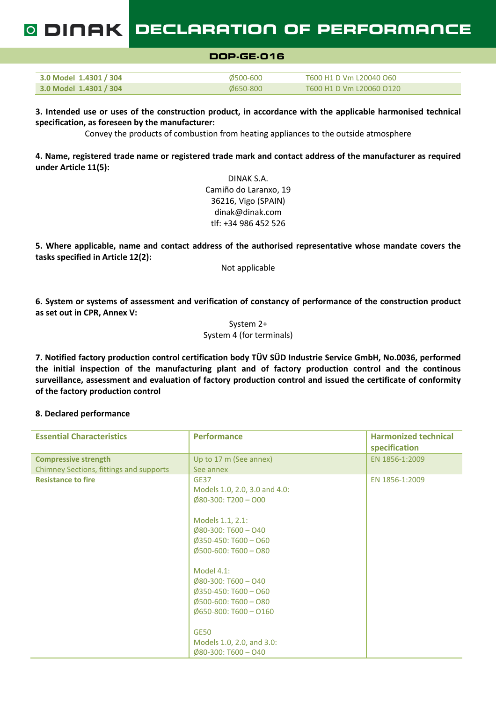DECLARATION OF PERFORMANCE 0 DINAK I

|                        | DOP.GE.016 |                         |  |
|------------------------|------------|-------------------------|--|
|                        |            |                         |  |
| 3.0 Model 1.4301 / 304 | 0500-600   | T600 H1 D Vm L20040 O60 |  |

3.0 Model 1.4301 / 304 Ø650-800 T600 H1 D Vm L20060 O120

3. Intended use or uses of the construction product, in accordance with the applicable harmonised technical specification, as foreseen by the manufacturer:

Convey the products of combustion from heating appliances to the outside atmosphere

4. Name, registered trade name or registered trade mark and contact address of the manufacturer as required under Article 11(5):

> DINAK S.A. Camiño do Laranxo, 19 36216, Vigo (SPAIN) dinak@dinak.com tlf: +34 986 452 526

5. Where applicable, name and contact address of the authorised representative whose mandate covers the tasks specified in Article 12(2):

Not applicable

6. System or systems of assessment and verification of constancy of performance of the construction product as set out in CPR, Annex V:

> System 2+ System 4 (for terminals)

7. Notified factory production control certification body TÜV SÜD Industrie Service GmbH, No.0036, performed the initial inspection of the manufacturing plant and of factory production control and the continous surveillance, assessment and evaluation of factory production control and issued the certificate of conformity of the factory production control

### 8. Declared performance

| <b>Essential Characteristics</b>        | <b>Performance</b>                                                                                                                                     | <b>Harmonized technical</b><br>specification |
|-----------------------------------------|--------------------------------------------------------------------------------------------------------------------------------------------------------|----------------------------------------------|
| <b>Compressive strength</b>             | Up to 17 m (See annex)                                                                                                                                 | EN 1856-1:2009                               |
| Chimney Sections, fittings and supports | See annex                                                                                                                                              |                                              |
| <b>Resistance to fire</b>               | <b>GE37</b><br>Models 1.0, 2.0, 3.0 and 4.0:<br>$\emptyset$ 80-300: T200 - O00                                                                         | EN 1856-1:2009                               |
|                                         | Models 1.1, 2.1:<br>$\emptyset$ 80-300: T600 - O40<br>$\emptyset$ 350-450: T600 - O60<br>$\emptyset$ 500-600: T600 - O80                               |                                              |
|                                         | Model 4.1:<br>$\emptyset$ 80-300: T600 - O40<br>$\emptyset$ 350-450: T600 - O60<br>$\emptyset$ 500-600: T600 - O80<br>$\emptyset$ 650-800: T600 - O160 |                                              |
|                                         | <b>GE50</b><br>Models 1.0, 2.0, and 3.0:<br>$\emptyset$ 80-300: T600 - O40                                                                             |                                              |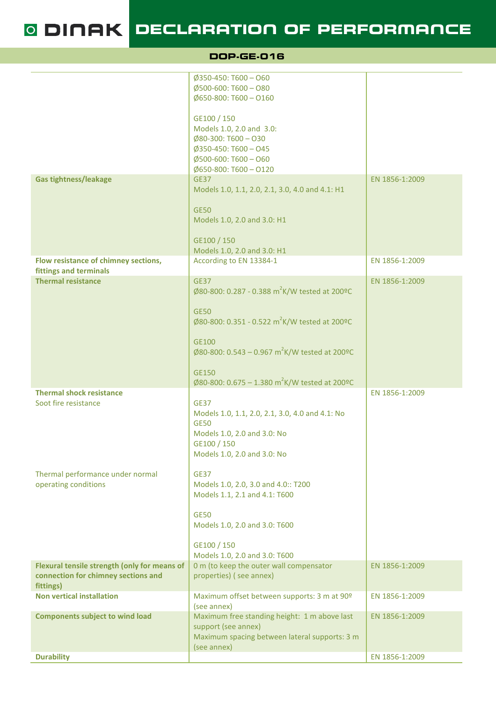O DINAK DECLARATION OF PERFORMANCE

|                                                                                     | <b>DOP.GE.016</b>                                                         |                |
|-------------------------------------------------------------------------------------|---------------------------------------------------------------------------|----------------|
|                                                                                     | $\emptyset$ 350-450: T600 - O60                                           |                |
|                                                                                     | $\emptyset$ 500-600: T600 - O80<br>$\emptyset$ 650-800: T600 - O160       |                |
|                                                                                     | GE100 / 150<br>Models 1.0, 2.0 and 3.0:                                   |                |
|                                                                                     | $\emptyset$ 80-300: T600 - O30<br>$\emptyset$ 350-450: T600 - O45         |                |
|                                                                                     | $\emptyset$ 500-600: T600 - O60<br>$\emptyset$ 650-800: T600 - O120       |                |
| <b>Gas tightness/leakage</b>                                                        | <b>GE37</b><br>Models 1.0, 1.1, 2.0, 2.1, 3.0, 4.0 and 4.1: H1            | EN 1856-1:2009 |
|                                                                                     | <b>GE50</b>                                                               |                |
|                                                                                     | Models 1.0, 2.0 and 3.0: H1                                               |                |
|                                                                                     | GE100 / 150<br>Models 1.0, 2.0 and 3.0: H1                                |                |
| Flow resistance of chimney sections,<br>fittings and terminals                      | According to EN 13384-1                                                   | EN 1856-1:2009 |
| <b>Thermal resistance</b>                                                           | <b>GE37</b><br>Ø80-800: 0.287 - 0.388 m <sup>2</sup> K/W tested at 200ºC  | EN 1856-1:2009 |
|                                                                                     | <b>GE50</b>                                                               |                |
|                                                                                     | Ø80-800: 0.351 - 0.522 m <sup>2</sup> K/W tested at 200ºC                 |                |
|                                                                                     | GE100<br>Ø80-800: 0.543 – 0.967 m <sup>2</sup> K/W tested at 200ºC        |                |
|                                                                                     |                                                                           |                |
|                                                                                     | <b>GE150</b><br>Ø80-800: 0.675 – 1.380 m <sup>2</sup> K/W tested at 200ºC |                |
| <b>Thermal shock resistance</b><br>Soot fire resistance                             | <b>GE37</b>                                                               | EN 1856-1:2009 |
|                                                                                     | Models 1.0, 1.1, 2.0, 2.1, 3.0, 4.0 and 4.1: No<br><b>GE50</b>            |                |
|                                                                                     | Models 1.0, 2.0 and 3.0: No<br>GE100 / 150                                |                |
|                                                                                     | Models 1.0, 2.0 and 3.0: No                                               |                |
| Thermal performance under normal<br>operating conditions                            | <b>GE37</b><br>Models 1.0, 2.0, 3.0 and 4.0:: T200                        |                |
|                                                                                     | Models 1.1, 2.1 and 4.1: T600                                             |                |
|                                                                                     | <b>GE50</b><br>Models 1.0, 2.0 and 3.0: T600                              |                |
|                                                                                     | GE100 / 150<br>Models 1.0, 2.0 and 3.0: T600                              |                |
| Flexural tensile strength (only for means of<br>connection for chimney sections and | 0 m (to keep the outer wall compensator<br>properties) (see annex)        | EN 1856-1:2009 |
| fittings)                                                                           |                                                                           |                |
| <b>Non vertical installation</b>                                                    | Maximum offset between supports: 3 m at 90 <sup>o</sup><br>(see annex)    | EN 1856-1:2009 |
| <b>Components subject to wind load</b>                                              | Maximum free standing height: 1 m above last<br>support (see annex)       | EN 1856-1:2009 |
|                                                                                     | Maximum spacing between lateral supports: 3 m<br>(see annex)              |                |
| <b>Durability</b>                                                                   |                                                                           | EN 1856-1:2009 |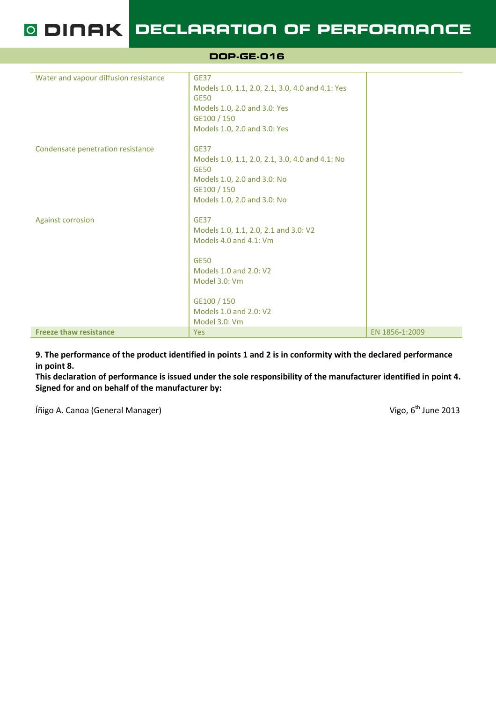O DINAK DECLARATION OF PERFORMANCE

DOP-GE-016

| Water and vapour diffusion resistance | <b>GE37</b><br>Models 1.0, 1.1, 2.0, 2.1, 3.0, 4.0 and 4.1: Yes<br><b>GE50</b><br>Models 1.0, 2.0 and 3.0: Yes<br>GE100 / 150<br>Models 1.0, 2.0 and 3.0: Yes                                      |                |
|---------------------------------------|----------------------------------------------------------------------------------------------------------------------------------------------------------------------------------------------------|----------------|
| Condensate penetration resistance     | <b>GE37</b><br>Models 1.0, 1.1, 2.0, 2.1, 3.0, 4.0 and 4.1: No<br><b>GE50</b><br>Models 1.0, 2.0 and 3.0: No<br>GE100 / 150<br>Models 1.0, 2.0 and 3.0: No                                         |                |
| <b>Against corrosion</b>              | <b>GE37</b><br>Models 1.0, 1.1, 2.0, 2.1 and 3.0: V2<br>Models 4.0 and 4.1: Vm<br><b>GE50</b><br>Models 1.0 and 2.0: V2<br>Model 3.0: Vm<br>GE100 / 150<br>Models 1.0 and 2.0: V2<br>Model 3.0: Vm |                |
| <b>Freeze thaw resistance</b>         | <b>Yes</b>                                                                                                                                                                                         | EN 1856-1:2009 |

9. The performance of the product identified in points 1 and 2 is in conformity with the declared performance in point 8.

This declaration of performance is issued under the sole responsibility of the manufacturer identified in point 4. Signed for and on behalf of the manufacturer by:

Íñigo A. Canoa (General Manager) **Vigo, 6th June 2013**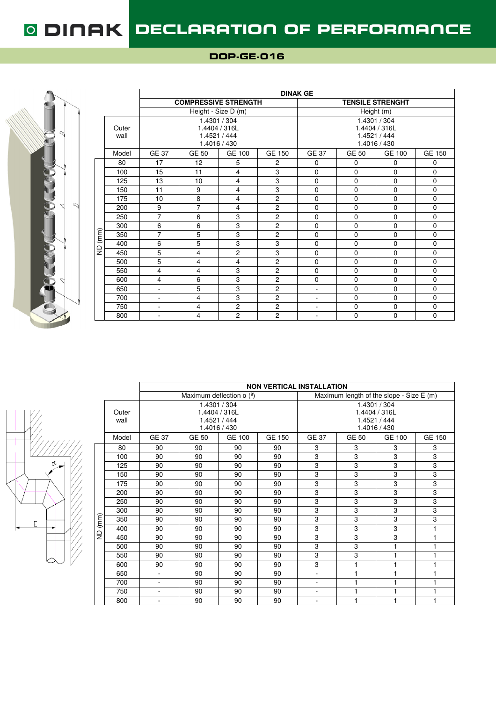

|         |               |                |                             |                                                               |                | <b>DINAK GE</b>          |                         |                                                               |               |  |  |  |
|---------|---------------|----------------|-----------------------------|---------------------------------------------------------------|----------------|--------------------------|-------------------------|---------------------------------------------------------------|---------------|--|--|--|
|         |               |                | <b>COMPRESSIVE STRENGTH</b> |                                                               |                |                          | <b>TENSILE STRENGHT</b> |                                                               |               |  |  |  |
|         |               |                |                             | Height - Size D (m)                                           |                | Height (m)               |                         |                                                               |               |  |  |  |
|         | Outer<br>wall |                |                             | 1.4301 / 304<br>1.4404 / 316L<br>1.4521 / 444<br>1.4016 / 430 |                |                          |                         | 1.4301 / 304<br>1.4404 / 316L<br>1.4521 / 444<br>1.4016 / 430 |               |  |  |  |
|         | Model         | <b>GE 37</b>   | GE 50                       | GE 100                                                        | GE 150         | <b>GE 37</b>             | GE 50                   | GE 100                                                        | <b>GE 150</b> |  |  |  |
|         | 80            | 17             | 12                          | 5                                                             | $\overline{c}$ | 0                        | 0                       | 0                                                             | 0             |  |  |  |
|         | 100           | 15             | 11                          | 4                                                             | 3              | $\mathbf 0$              | $\mathbf 0$             | $\Omega$                                                      | $\Omega$      |  |  |  |
|         | 125           | 13             | 10                          | $\overline{4}$                                                | 3              | $\mathbf 0$              | $\mathbf 0$             | $\Omega$                                                      | $\Omega$      |  |  |  |
|         | 150           | 11             | 9                           | $\overline{4}$                                                | 3              | $\mathbf 0$              | $\mathbf 0$             | $\mathbf 0$                                                   | $\mathbf 0$   |  |  |  |
|         | 175           | 10             | 8                           | $\overline{4}$                                                | $\overline{c}$ | $\mathbf 0$              | $\mathbf 0$             | $\mathbf 0$                                                   | $\mathbf 0$   |  |  |  |
|         | 200           | 9              | $\overline{7}$              | $\overline{4}$                                                | $\overline{c}$ | $\mathbf 0$              | $\mathbf 0$             | $\Omega$                                                      | $\Omega$      |  |  |  |
|         | 250           | $\overline{7}$ | 6                           | 3                                                             | $\overline{c}$ | $\mathbf 0$              | $\mathbf 0$             | $\Omega$                                                      | $\Omega$      |  |  |  |
|         | 300           | 6              | 6                           | 3                                                             | $\overline{2}$ | $\mathbf 0$              | $\mathbf 0$             | $\Omega$                                                      | $\Omega$      |  |  |  |
| ND (mm) | 350           | $\overline{7}$ | 5                           | 3                                                             | $\overline{2}$ | $\mathbf 0$              | $\mathbf 0$             | $\Omega$                                                      | $\mathbf 0$   |  |  |  |
|         | 400           | 6              | 5                           | 3                                                             | 3              | $\mathbf 0$              | $\mathbf 0$             | $\Omega$                                                      | $\mathbf 0$   |  |  |  |
|         | 450           | 5              | $\overline{4}$              | $\overline{2}$                                                | 3              | $\mathbf 0$              | $\mathbf 0$             | $\Omega$                                                      | $\mathbf 0$   |  |  |  |
|         | 500           | 5              | $\overline{4}$              | 4                                                             | $\overline{2}$ | $\mathbf 0$              | $\mathbf 0$             | $\mathbf 0$                                                   | $\mathbf 0$   |  |  |  |
|         | 550           | 4              | 4                           | 3                                                             | $\overline{c}$ | $\mathbf 0$              | $\mathbf 0$             | $\Omega$                                                      | $\Omega$      |  |  |  |
|         | 600           | 4              | 6                           | 3                                                             | $\overline{2}$ | $\mathbf 0$              | $\mathbf 0$             | $\mathbf 0$                                                   | $\mathbf 0$   |  |  |  |
|         | 650           | ٠              | 5                           | 3                                                             | $\overline{c}$ | ٠                        | $\Omega$                | $\Omega$                                                      | $\Omega$      |  |  |  |
|         | 700           | $\blacksquare$ | 4                           | 3                                                             | $\overline{2}$ | $\overline{\phantom{a}}$ | $\mathbf 0$             | $\Omega$                                                      | $\Omega$      |  |  |  |
|         | 750           | $\blacksquare$ | 4                           | $\overline{2}$                                                | $\overline{c}$ | $\overline{\phantom{a}}$ | $\mathbf 0$             | 0                                                             | $\mathbf 0$   |  |  |  |
|         | 800           | ٠              | 4                           | $\overline{2}$                                                | $\overline{c}$ | $\overline{\phantom{a}}$ | $\mathbf 0$             | $\Omega$                                                      | $\Omega$      |  |  |  |



|         |               | <b>NON VERTICAL INSTALLATION</b> |                                              |                              |               |                                                               |       |        |               |  |  |  |
|---------|---------------|----------------------------------|----------------------------------------------|------------------------------|---------------|---------------------------------------------------------------|-------|--------|---------------|--|--|--|
|         |               |                                  | Maximum deflection $\alpha$ ( <sup>o</sup> ) |                              |               | Maximum length of the slope - Size $E(m)$                     |       |        |               |  |  |  |
|         | Outer<br>wall |                                  | 1.4404 / 316L<br>1.4521 / 444                | 1.4301 / 304<br>1.4016 / 430 |               | 1.4301 / 304<br>1.4404 / 316L<br>1.4521 / 444<br>1.4016 / 430 |       |        |               |  |  |  |
|         | Model         | <b>GE 37</b>                     | GE 50                                        | <b>GE 100</b>                | <b>GE 150</b> | <b>GE 37</b>                                                  | GE 50 | GE 100 | <b>GE 150</b> |  |  |  |
|         | 80            | 90                               | 90                                           | 90                           | 90            | 3                                                             | 3     | 3      | 3             |  |  |  |
|         | 100           | 90                               | 90                                           | 90                           | 90            | 3                                                             | 3     | 3      | 3             |  |  |  |
|         | 125           | 90                               | 90                                           | 90                           | 90            | 3                                                             | 3     | 3      | 3             |  |  |  |
|         | 150           | 90                               | 90                                           | 90                           | 90            | 3                                                             | 3     | 3      | 3             |  |  |  |
|         | 175           | 90                               | 90                                           | 90                           | 90            | 3                                                             | 3     | 3      | 3             |  |  |  |
|         | 200           | 90                               | 90                                           | 90                           | 90            | 3                                                             | 3     | 3      | 3             |  |  |  |
|         | 250           | 90                               | 90                                           | 90                           | 90            | 3                                                             | 3     | 3      | 3             |  |  |  |
|         | 300           | 90                               | 90                                           | 90                           | 90            | 3                                                             | 3     | 3      | 3             |  |  |  |
| ND (mm) | 350           | 90                               | 90                                           | 90                           | 90            | 3                                                             | 3     | 3      | 3             |  |  |  |
|         | 400           | 90                               | 90                                           | 90                           | 90            | 3                                                             | 3     | 3      | 1             |  |  |  |
|         | 450           | 90                               | 90                                           | 90                           | 90            | 3                                                             | 3     | 3      | 1             |  |  |  |
|         | 500           | 90                               | 90                                           | 90                           | 90            | 3                                                             | 3     | 1      | 1             |  |  |  |
|         | 550           | 90                               | 90                                           | 90                           | 90            | 3                                                             | 3     | 1      | 1             |  |  |  |
|         | 600           | 90                               | 90                                           | 90                           | 90            | 3                                                             | 1     | 1      | 1             |  |  |  |
|         | 650           | ÷.                               | 90                                           | 90                           | 90            | ÷.                                                            | 1     | 1      | 1             |  |  |  |
|         | 700           | ÷.                               | 90                                           | 90                           | 90            | ÷.                                                            | 1     | 1      | 1             |  |  |  |
|         | 750           | L.                               | 90                                           | 90                           | 90            | $\blacksquare$                                                | 1     | 1      | 1             |  |  |  |
|         | 800           | $\overline{\phantom{0}}$         | 90                                           | 90                           | 90            | $\blacksquare$                                                | 1     | 1      | 1             |  |  |  |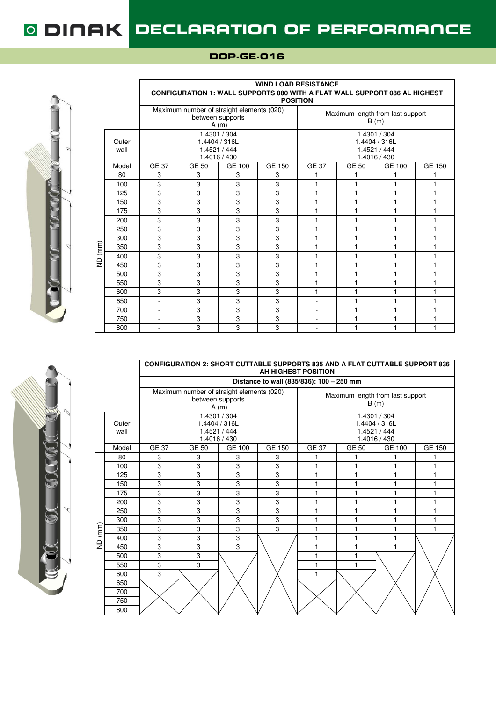$\overline{1}$ 



|         |               | <b>WIND LOAD RESISTANCE</b> |                                                                            |                              |               |                          |                                                               |               |               |  |  |  |
|---------|---------------|-----------------------------|----------------------------------------------------------------------------|------------------------------|---------------|--------------------------|---------------------------------------------------------------|---------------|---------------|--|--|--|
|         |               |                             | CONFIGURATION 1: WALL SUPPORTS 080 WITH A FLAT WALL SUPPORT 086 AL HIGHEST |                              |               | <b>POSITION</b>          |                                                               |               |               |  |  |  |
|         |               |                             | Maximum number of straight elements (020)<br>between supports              | A(m)                         |               |                          | Maximum length from last support<br>B(m)                      |               |               |  |  |  |
|         | Outer<br>wall |                             | 1.4404 / 316L<br>1.4521 / 444                                              | 1.4301 / 304<br>1.4016 / 430 |               |                          | 1.4301 / 304<br>1.4404 / 316L<br>1.4521 / 444<br>1.4016 / 430 |               |               |  |  |  |
|         | Model         | <b>GE 37</b>                | GE 50                                                                      | <b>GE 100</b>                | <b>GE 150</b> | <b>GE 37</b>             | <b>GE 50</b>                                                  | <b>GE 100</b> | <b>GE 150</b> |  |  |  |
|         | 80            | 3                           | 3                                                                          | 3                            | 3             | 1                        | 1                                                             | 1             |               |  |  |  |
|         | 100           | 3                           | 3                                                                          | 3                            | 3             | 1                        | 1                                                             | 1             |               |  |  |  |
|         | 125           | 3                           | 3                                                                          | 3                            | 3             | $\mathbf{1}$             | 1                                                             | 1             | 1             |  |  |  |
|         | 150           | 3                           | 3                                                                          | 3                            | 3             | 1                        | 1                                                             | 1             |               |  |  |  |
|         | 175           | 3                           | 3                                                                          | 3                            | 3             | 1                        | 1                                                             | 1             |               |  |  |  |
|         | 200           | 3                           | 3                                                                          | 3                            | 3             | 1                        | 1                                                             | 1             | 1             |  |  |  |
|         | 250           | 3                           | 3                                                                          | 3                            | 3             | 1                        | 1                                                             | 1             |               |  |  |  |
|         | 300           | 3                           | 3                                                                          | 3                            | 3             | $\mathbf{1}$             | 1                                                             | 1             | 1             |  |  |  |
| ND (mm) | 350           | 3                           | 3                                                                          | 3                            | 3             | 1                        | 1                                                             | 1             | 1             |  |  |  |
|         | 400           | 3                           | 3                                                                          | 3                            | 3             | $\mathbf{1}$             | 1                                                             | 1             |               |  |  |  |
|         | 450           | 3                           | 3                                                                          | 3                            | 3             | 1                        | 1                                                             | 1             |               |  |  |  |
|         | 500           | 3                           | 3                                                                          | 3                            | 3             | 1                        | 1                                                             | 1             |               |  |  |  |
|         | 550           | 3                           | 3                                                                          | 3                            | 3             | $\mathbf{1}$             | 1                                                             | 1             |               |  |  |  |
|         | 600           | 3                           | 3                                                                          | 3                            | 3             | 1                        | 1                                                             | 1             |               |  |  |  |
|         | 650           | L.                          | 3                                                                          | 3                            | 3             | $\overline{\phantom{0}}$ | 1                                                             | 1             |               |  |  |  |
|         | 700           | ä,                          | 3                                                                          | 3                            | 3             | ÷                        | 1                                                             | 1             |               |  |  |  |
|         | 750           | ä,                          | 3                                                                          | 3                            | 3             | ٠                        | 1                                                             | 1             |               |  |  |  |
|         | 800           | $\blacksquare$              | 3                                                                          | 3                            | 3             | $\overline{\phantom{0}}$ | 1                                                             | 1             |               |  |  |  |

#### **CONFIGURATION 2: SHORT CUTTABLE SUPPORTS 835 AND A FLAT CUTTABLE SUPPORT 836 AH HIGHEST POSITION**

|         |               |              |               | Distance to wall (835/836): 100 - 250 mm                              |               |                                          |              |                                               |        |
|---------|---------------|--------------|---------------|-----------------------------------------------------------------------|---------------|------------------------------------------|--------------|-----------------------------------------------|--------|
|         |               |              |               | Maximum number of straight elements (020)<br>between supports<br>A(m) |               | Maximum length from last support<br>B(m) |              |                                               |        |
|         | Outer<br>wall |              | 1.4404 / 316L | 1.4301 / 304<br>1.4521 / 444<br>1.4016 / 430                          |               |                                          | 1.4521 / 444 | 1.4301 / 304<br>1.4404 / 316L<br>1.4016 / 430 |        |
|         | Model         | <b>GE 37</b> | <b>GE 50</b>  | <b>GE 100</b>                                                         | <b>GE 150</b> | <b>GE 37</b>                             | <b>GE 50</b> | GE 100                                        | GE 150 |
|         | 80            | 3            | 3             | 3                                                                     | 3             |                                          |              |                                               |        |
|         | 100           | 3            | 3             | 3                                                                     | 3             | 1                                        | 1            | 1                                             |        |
|         | 125           | 3            | 3             | 3                                                                     | 3             | 1                                        | 1            | 1                                             |        |
|         | 150           | 3            | 3             | 3                                                                     | 3             | 1                                        | 1            | 1                                             | 1      |
|         | 175           | 3            | 3             | 3                                                                     | 3             | 1                                        | 1            | 1                                             | 1      |
|         | 200           | 3            | 3             | 3                                                                     | 3             | 1                                        | 1            | 1                                             |        |
|         | 250           | 3            | 3             | 3                                                                     | 3             | 1                                        | 1            | 1                                             | 1      |
|         | 300           | 3            | 3             | 3                                                                     | 3             | 1                                        | 1            | 1                                             | 1      |
|         | 350           | 3            | 3             | 3                                                                     | 3             | 1                                        | 1            | 1                                             | 1      |
| ND (mm) | 400           | 3            | 3             | 3                                                                     |               |                                          | 1            | 1                                             |        |
|         | 450           | 3            | 3             | 3                                                                     |               | 1                                        | 1            | 1                                             |        |
|         | 500           | 3            | 3             |                                                                       |               | 1                                        | 1            |                                               |        |
|         | 550           | 3            | 3             |                                                                       |               | 1                                        | 1            |                                               |        |
|         | 600           | 3            |               |                                                                       |               | 1                                        |              |                                               |        |
|         | 650           |              |               |                                                                       |               |                                          |              |                                               |        |
|         | 700           |              |               |                                                                       |               |                                          |              |                                               |        |
|         | 750           |              |               |                                                                       |               |                                          |              |                                               |        |
|         | 800           |              |               |                                                                       |               |                                          |              |                                               |        |